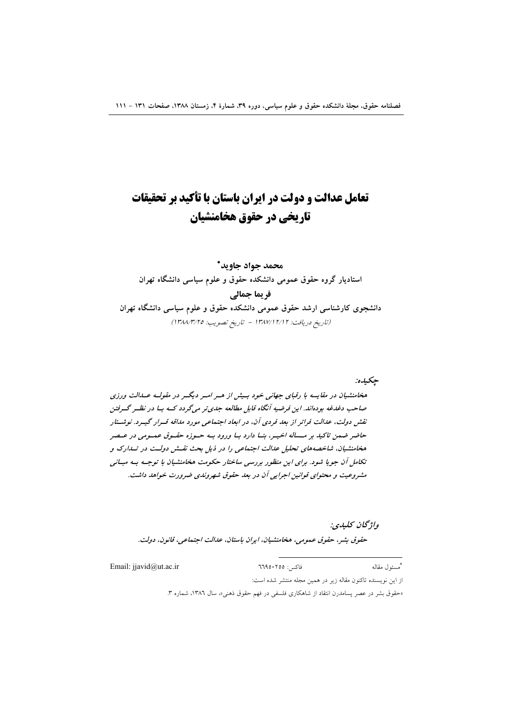# تعامل عدالت و دولت در ایران باستان با تأکید بر تحقیقات تاریخی در حقوق هخامنشیان

# محمد جواد جاويد\* استادیار گروه حقوق عمومی دانشکده حقوق و علوم سیاسی دانشگاه تهران فريما جمالي دانشجوی کارشناسی ارشد حقوق عمومی دانشکده حقوق و علوم سیاسی دانشگاه تهران (تاريخ دريافت: ١٣٨٧/١٢/١٢ - تاريخ تصويب: ١٣٨٨/٣/٢٥)

جكيده:

هخامنشیان در مقایسه با رقبای جهانی خود بسیش از هسر اسر دیگسر در مقولسه عسدالت ورزی صاحب دغدغه بودهاند. این فرضیه آنگاه قابل مطالعه جدی تر می گردد کسه بسا در نظیر گیرفتن نقش دولت، عدالت فرانر از بعد فردی آن، در ابعاد اجتماعی مورد مداقه قسرار گیسرد. نوشتار حاضر ضمن تاکید بر مـــاله اخیــر، بنــا دارد بــا ورود بــه حــوزه حقــوق عمــومی در عــصر هخامنشیان، شاخصههای تحلیل عدالت اجتماعی را در ذیل بحث نقش دولت در تسدارک و تکامل آن جویا شود. برای این منظور بررسی ساختار حکومت هخامنشیان با توجـه بـه مبـانی مشروعیت و محتوای قوانین اجرایی آن در بعد حقوق شهروندی ضرورت خواهد داشت.

## واۋىچان كىلىدى:

حقوق بشر، حقوق عمومي، هخامنشيان، ايران باستان، عدالت اجتماعي، قانون، دولت.

Email: jjavid@ut.ac.ir \*مسئول مقاله فاكس: ٦٦٩٥٠٢٥٥ از این نویسنده تاکنون مقاله زیر در همین مجله منتشر شده است:

«حقوق بشر در عصر پسامدرن انتقاد از شاهکاری فلسفی در فهم حقوق ذهنی»، سال ۱۳۸٦، شماره ۳.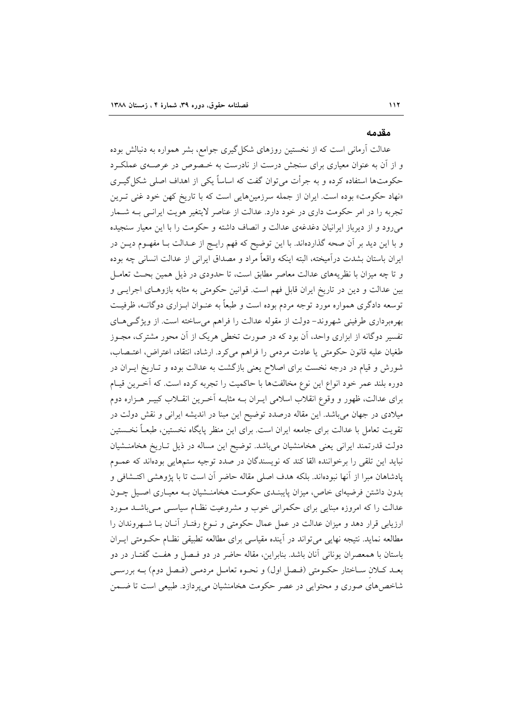#### مقدمه

عدالت آرمانی است که از نخستین روزهای شکل گیری جوامع، بشر همواره به دنبالش بوده و از آن به عنوان معیاری برای سنجش درست از نادرست به خـصوص در عرصـهی عملکـرد حکومتها استفاده کرده و به جرأت میٍتوان گفت که اساساً یکی از اهداف اصلی شکل گیــری «نهاد حکومت» بوده است. ایران از جمله سرزمینهایی است که با تاریخ کهن خود غنی تـرین تجربه را در امر حکومت داری در خود دارد. عدالت از عناصر لایتغیر هویت ایرانـی بــه شــمار می رود و از دیرباز ایرانیان دغدغهی عدالت و انصاف داشته و حکومت را با این معیار سنجیده و با این دید بر آن صحه گذاردهاند. با این توضیح که فهم رایـج از عـدالت بـا مفهـوم دیــن در ایران باستان بشدت درآمیخته، البته اینکه واقعاً مراد و مصداق ایرانی از عدالت انسانی چه بوده و تا چه میزان با نظریههای عدالت معاصر مطابق است، تا حدودی در ذیل همین بحث تعامـل بین عدالت و دین در تاریخ ایران قابل فهم است. قوانین حکومتی به مثابه بازوهـای اجرایـی و توسعه دادگری همواره مورد توجه مردم بوده است و طبعاً به عنـوان ابـزاری دوگانــه، ظرفیــت بهرهبرداری طرفینی شهروند– دولت از مقوله عدالت را فراهم می ساخته است. از ویژگی هـای تفسیر دوگانه از ابزاری واحد، آن بود که در صورت تخطی هریک از آن محور مشترک، مجــوز طغيان عليه قانون حكومتى يا عادت مردمى را فراهم مىكرد. ارشاد، انتقاد، اعتراض، اعتـصاب، شورش و قیام در درجه نخست برای اصلاح یعنی بازگشت به عدالت بوده و تـاریخ ایــران در دوره بلند عمر خود انواع این نوع مخالفتها با حاکمیت را تجربه کرده است. که آخـرین قیـام برای عدالت، ظهور و وقوع انقلاب اسلامی ایــران بــه مثابــه اَخــرین انقــلاب کبیــر هــزاره دوم میلادی در جهان میباشد. این مقاله درصدد توضیح این مبنا در اندیشه ایرانی و نقش دولت در تقويت تعامل با عدالت براي جامعه ايران است. براي اين منظر پايگاه نخستين، طبعـاً نخــستين دولت قدرتمند ایرانی یعنی هخامنشیان میباشد. توضیح این مساله در ذیل تـاریخ هخامنـشیان نبايد اين تلقى را برخواننده القا كند كه نويسندگان در صدد توجيه ستمهايي بودهاند كه عمـوم يادشاهان مبرا از آنها نبودهاند. بلكه هدف اصلي مقاله حاضر آن است تا با يژوهشي اكتــشافي و بدون داشتن فرضیهای خاص، میزان پایبنـدی حکومـت هخامنــشیان بـه معیـاری اصــیل چــون عدالت را که امروزه مبنایی برای حکمرانی خوب و مشروعیت نظـام سیاسـی مـیباشـد مـورد ارزیابی قرار دهد و میزان عدالت در عمل عمال حکومتی و نـوع رفتـار آنـان بـا شـهروندان را مطالعه نماید. نتیجه نهایی می تواند در آینده مقیاسی برای مطالعه تطبیقی نظـام حکـومتی ایـران باستان با همعصران يوناني آنان باشد. بنابراين، مقاله حاضر در دو فـصل و هفـت گفتـار در دو بعـد كـلان سـاختار حكـومتى (فـصل اول) و نحـوه تعامـل مردمـى (فـصل دوم) بــه بررسـى شاخص های صوری و محتوایی در عصر حکومت هخامنشیان می پردازد. طبیعی است تا ضــمن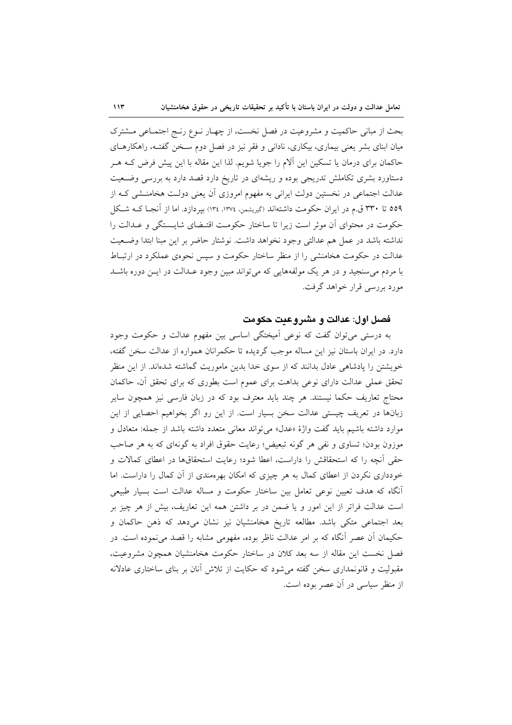بحث از مبانی حاکمیت و مشروعیت در فصل نخست، از چهـار نـوع رنـج اجتمـاعی مــشترک میان ابنای بشر یعنی بیماری، بیکاری، نادانی و فقر نیز در فصل دوم سـخن گفتـه، راهکارهــای حاکمان برای درمان یا تسکین این آلام را جویا شویم. لذا این مقاله با این پیش فرض کـه هــر دستاورد بشری تکاملش تدریجی بوده و ریشهای در تاریخ دارد قصد دارد به بررسی وضـعیت عدالت اجتماعی در نخستین دولت ایرانی به مفهوم امروزی آن یعنی دولت هخامنـشی کـه از ٥٥٩ تا ٣٣٠ ق.م در ايران حكومت داشتهاند (گيريشمن، ١٣٧٤، ١٣٤) بپردازد. اما از آنجـا كــه شـكل حکومت در محتوای آن موثر است زیرا تا ساختار حکومت اقتـضای شایـستگی و عـدالت را نداشته باشد در عمل هم عدالتي وجود نخواهد داشت. نوشتار حاضر بر اين مبنا ابتدا وضـعيت عدالت در حکومت هخامنشی را از منظر ساختار حکومت و سپس نحوهی عملکرد در ارتبـاط با مردم می سنجید و در هر یک مولفههایی که می تواند مبین وجود عـدالت در ایــن دوره باشــد مورد بررسی قرار خواهد گرفت.

## فصل اول: عدالت و مشر وعيت حكومت

به درستی می توان گفت که نوعی آمیختگی اساسی بین مفهوم عدالت و حکومت وجود دارد. در ایران باستان نیز این مساله موجب گردیده تا حکمرانان همواره از عدالت سخن گفته، خویشتن را یادشاهی عادل بدانند که از سوی خدا بدین ماموریت گماشته شدهاند. از این منظر تحقق عملی عدالت دارای نوعی بداهت برای عموم است بطوری که برای تحقق آن، حاکمان محتاج تعاریف حکما نیستند. هر چند باید معترف بود که در زبان فارسی نیز همچون سایر زبانها در تعریف چیستی عدالت سخن بسیار است. از این رو اگر بخواهیم احصایی از این موارد داشته باشیم باید گفت واژهٔ «عدل» می تواند معانی متعدد داشته باشد از جمله: متعادل و موزون بودن؛ تساوی و نفی هر گونه تبعیض؛ رعایت حقوق افراد به گونهای که به هر صاحب حقی آنچه را که استحقاقش را داراست، اعطا شود؛ رعایت استحقاقها در اعطای کمالات و خودداری نکردن از اعطای کمال به هر چیزی که امکان بهرهمندی از آن کمال را داراست. اما اّنگاه که هدف تعیین نوعی تعامل بین ساختار حکومت و مساله عدالت است بسیار طبیعی است عدالت فراتر از این امور و یا ضمن در بر داشتن همه این تعاریف، بیش از هر چیز بر بعد اجتماعی متکی باشد. مطالعه تاریخ هخامنشیان نیز نشان میدهد که ذهن حاکمان و حکیمان آن عصر آنگاه که بر امر عدالت ناظر بوده، مفهومی مشابه را قصد می نموده است. در فصل نخست این مقاله از سه بعد کلان در ساختار حکومت هخامنشیان همچون مشروعیت، مقبولیت و قانونمداری سخن گفته میشود که حکایت از تلاش آنان بر بنای ساختاری عادلانه از منظر سیاسی در آن عصر بوده است.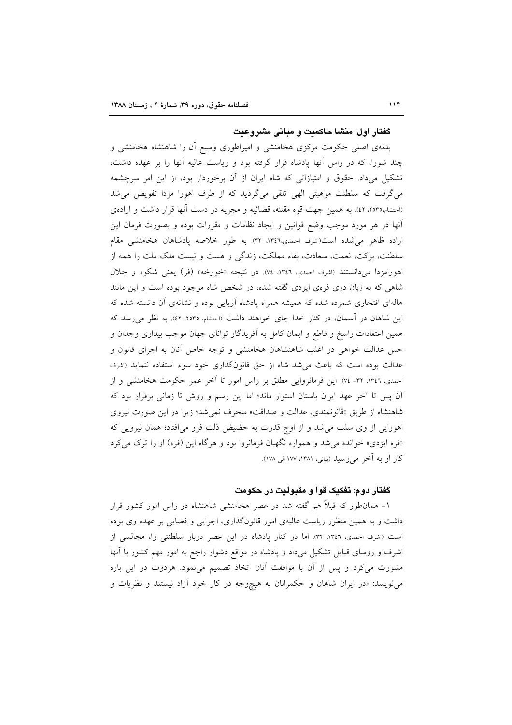گفتار اول: منشا حاکمیت و مبانی مشروعیت

بدنهی اصلی حکومت مرکزی هخامنشی و امپراطوری وسیع أن را شاهنشاه هخامنشی و چند شورا، که در راس آنها پادشاه قرار گرفته بود و ریاست عالیه آنها را بر عهده داشت، تشکیل میداد. حقوق و امتیازاتی که شاه ایران از آن برخوردار بود، از این امر سرچشمه می گرفت که سلطنت موهبتی الهی تلقی میگردید که از طرف اهورا مزدا تفویض می شد (احتشام،٢٥٣٥، ٤٢). به همين جهت قوه مقننه، قضائيه و مجريه در دست أنها قرار داشت و ارادهى أنها در هر مورد موجب وضع قوانین و ایجاد نظامات و مقررات بوده و بصورت فرمان این اراده ظاهر می شده است(اشرف احمدی،١٣٤٦، ٣٢). به طور خلاصه پادشاهان هخامنشی مقام سلطنت، بركت، نعمت، سعادت، بقاء مملكت، زندگی و هست و نیست ملک ملت را همه از اهورامزدا میدانستند (اشرف احمدی، ۱۳٤٦، ۷٤). در نتیجه «خورخه» (فر) یعنی شکوه و جلال شاهی که به زبان دری فرمی ایزدی گفته شده، در شخص شاه موجود بوده است و این مانند هالهای افتخاری شمرده شده که همیشه همراه پادشاه آریایی بوده و نشانهی آن دانسته شده که این شاهان در آسمان، در کنار خدا جای خواهند داشت (احتشام، ۲۵۳۵، ٤٢). به نظر می رسد که همین اعتقادات راسخ و قاطع و ایمان کامل به آفریدگار توانای جهان موجب بیداری وجدان و حس عدالت خواهی در اغلب شاهنشاهان هخامنشی و توجه خاص آنان به اجرای قانون و عدالت بوده است که باعث می شد شاه از حق قانونگذاری خود سوء استفاده ننماید (اشرف احمدی، ١٣٤٦، ٣٢- ٧٤). این فرمانروایی مطلق بر راس امور تا آخر عمر حکومت هخامنشی و از آن پس تا آخر عهد ایران باستان استوار ماند؛ اما این رسم و روش تا زمانی برقرار بود که شاهنشاه از طريق «قانونمندي، عدالت و صداقت» منحرف نمي شد؛ زيرا در اين صورت نيروي اهورایی از وی سلب می شد و از اوج قدرت به حضیض ذلت فرو می افتاد؛ همان نیرویی که «فره ایزدی» خوانده می شد و همواره نگهبان فرمانروا بود و هرگاه این (فره) او را ترک می کرد کار او به آخر می رسید (بیانی، ۱۳۸۱، ۱۷۷ الی ۱۷۸).

### گفتار دوم: تفکیک قوا و مقبولیت در حکومت

۱– همانطور که قبلاً هم گفته شد در عصر هخامنشی شاهنشاه در راس امور کشور قرار داشت و به همین منظور ریاست عالیهی امور قانونگذاری، اجرایی و قضایی بر عهده وی بوده است (اشرف احمدي، ١٣٤٦، ٣٢). اما در كنار يادشاه در اين عصر دربار سلطنتي را، مجالسي از اشرف و روسای قبایل تشکیل میداد و پادشاه در مواقع دشوار راجع به امور مهم کشور با آنها مشورت میکرد و پس از آن با موافقت آنان اتخاذ تصمیم مینمود. هردوت در این باره می نویسد: «در ایران شاهان و حکمرانان به هیچ وجه در کار خود آزاد نیستند و نظریات و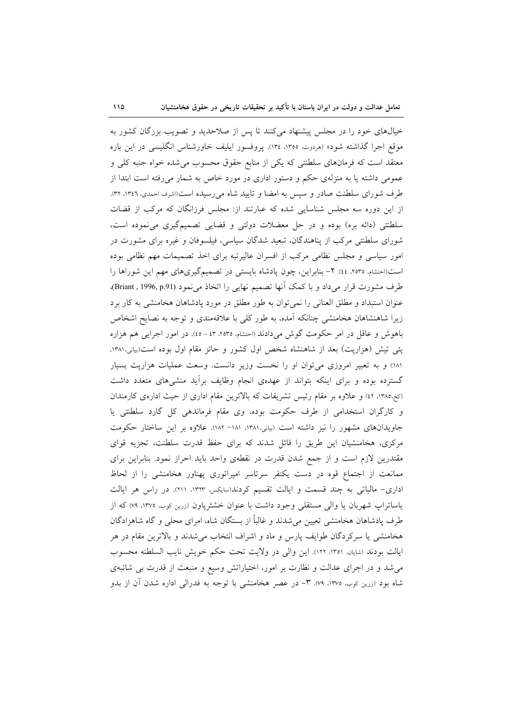خیالهای خود را در مجلس پیشنهاد میکنند تا پس از صلاحدید و تصویب بزرگان کشور به موقع اجرا گذاشته شود» (مردوت، ١٣٥٥، ١٣٤). پروفسور ايليف خاورشناس انگليسي در اين باره معتقد است که فرمانهای سلطنتی که یکی از منابع حقوق محسوب می شده خواه جنبه کلی و عمومی داشته یا به منزلهی حکم و دستور اداری در مورد خاص به شمار میرفته است ابتدا از طرف شورای سلطنت صادر و سیس به امضا و تایید شاه می رسیده است(اشرف احمدی، ۱۳٤٦، ۳۲). از این دوره سه مجلس شناسایی شده که عبارتند از: مجلس فرزانگان که مرکب از قضات سلطنتی (دائه بره) بوده و در حل معضلات دولتی و قضایی تصمیمگیری می نموده است، شورای سلطنتی مرکب از پناهندگان، تبعید شدگان سیاسی، فیلسوفان و غیره برای مشورت در امور سیاسی و مجلس نظامی مرکب از افسران عالیرتبه برای اخذ تصمیمات مهم نظامی بوده است(احتشام، ۲۵۳۵، ٤٤). ۲- بنابراین، چون یادشاه بایستی در تصمیمگیریهای مهم این شوراها را طرف مشورت قرار می داد و با کمک آنها تصمیم نهایی را اتخاذ می نمود (Briant , 1996, p.91)، عنوان استبداد و مطلق العناني را نمي توان به طور مطلق در مورد پادشاهان هخامنشي به كار برد زیرا شاهنشاهان هخامنشی چنانکه آمده، به طور کلی با علاقهمندی و توجه به نصایح اشخاص باهوش و عاقل در امر حکومت گوش میدادند (احتشام، ۲۵۳۵، ٤٣ - ٤٥). در امور اجرایی هم هزاره پئی تیش (هزارپت) بعد از شاهنشاه شخص اول کشور و حائز مقام اول بوده است(بیانی،۱۳۸۱، ۱۸۱) و به تعبیر امروزی می توان او را نخست وزیر دانست. وسعت عملیات هزاریت بسیار گسترده بوده و برای اینکه بتواند از عهدهی انجام وظایف برأید منشیهای متعدد داشت (کخ،۱۳۸۵، ۱۲) و علاوه بر مقام رئیس تشریفات که بالاترین مقام اداری از حیث ادارهی کارمندان و كارگران استخدامى از طرف حكومت بوده، وى مقام فرماندهى كل گارد سلطنتى يا جاویدانهای مشهور را نیز داشته است (بیانی،۱۳۸۱، ۱۸۱– ۱۸۲). علاوه بر این ساختار حکومت مرکزی، هخامنشیان این طریق را قائل شدند که برای حفظ قدرت سلطنت، تجزیه قوای مقتدرین لازم است و از جمع شدن قدرت در نقطهی واحد باید احراز نمود. بنابراین برای ممانعت از اجتماع قوه در دست یکنفر سرتاسر امپراتوری پهناور هخامنشی را از لحاظ اداری- مالیاتی به چند قسمت و ایالت تقسیم کردند(سایکس، ۱۳۲۳، ۲۱۱). در راس هر ایالت یاساتراپ شهربان یا والی مستقلی وجود داشت با عنوان خشثرپاون (زرین کوب، ١٣٧٥، ٧٩) که از طرف یادشاهان هخامنشی تعیین می شدند و غالباً از بستگان شاه، امرای محلی و گاه شاهزادگان هخامنشی یا سرکردگان طوایف پارس و ماد و اشراف انتخاب می شدند و بالاترین مقام در هر ايالت بودند (شايان، ١٣٥١، ١٢٢). اين والي در ولايت تحت حكم خويش نايب السلطنه محسوب می شد و در اجرای عدالت و نظارت بر امور، اختیاراتش وسیع و منبعث از قدرت بی شائبهی شاه بود (زرین کوب، ۱۳۷۵، ۷۹). ۳- در عصر هخامنشی با توجه به فدرالی اداره شدن آن از بدو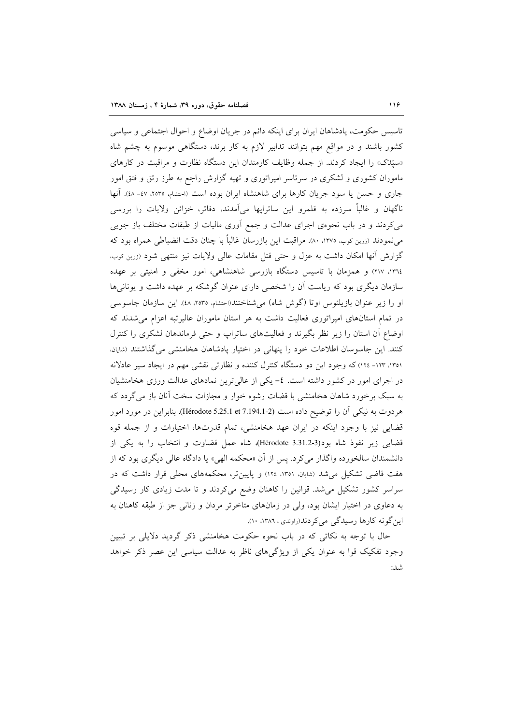تاسيس حكومت، پادشاهان ايران براي اينكه دائم در جريان اوضاع و احوال اجتماعي و سياسي کشور باشند و در مواقع مهم بتوانند تدابیر لازم به کار برند، دستگاهی موسوم به چشم شاه «سَپَدَک» را ایجاد کردند. از جمله وظایف کارمندان این دستگاه نظارت و مراقبت در کارهای ماموران کشوری و لشکری در سرتاسر امپراتوری و تهیه گزارش راجع به طرز رتق و فتق امور جاری و حسن یا سود جریان کارها برای شاهنشاه ایران بوده است (احتشام، ۲۵۳۵، ٤۷- ٤٨). آنها ناگهان و غالباً سرزده به قلمرو این ساتراپها میآمدند، دفاتر، خزائن ولایات را بررسی میکردند و در باب نحوهی اجرای عدالت و جمع آوری مالیات از طبقات مختلف باز جویی می نمودند (زرین کوب، ۱۳۷۰، ۸۰). مراقبت این بازرسان غالباً با چنان دقت انضباطی همراه بود که گزارش آنها امکان داشت به عزل و حتی قتل مقامات عالی ولایات نیز منتهی شود (زرین کوب، ١٣٦٤، ٢١٧) و همزمان با تاسيس دستگاه بازرسي شاهنشاهي، امور مخفي و امنيتي بر عهده سازمان دیگری بود که ریاست آن را شخصی دارای عنوان گوشکه بر عهده داشت و یونانیها او را زیر عنوان بازیلئوس اوتا (گوش شاه) میشناختند(احتشام، ۲۵۳۵، ٤٨). این سازمان جاسوسی در تمام استانهای امپراتوری فعالیت داشت به هر استان ماموران عالیرتبه اعزام می شدند که اوضاع آن استان را زیر نظر بگیرند و فعالیتهای ساتراپ و حتی فرماندهان لشکری را کنترل كنند. اين جاسوسان اطلاعات خود را پنهاني در اختيار پادشاهان هخامنشي مي گذاشتند (شايان، ١٣٥١، ١٢٣- ١٢٤) كه وجود اين دو دستگاه كنترل كننده و نظارتي نقشي مهم در ايجاد سير عادلانه در اجرای امور در کشور داشته است. ٤- یکی از عالی ترین نمادهای عدالت ورزی هخامنشیان به سبک برخورد شاهان هخامنشی با قضات رشوه خوار و مجازات سخت آنان باز میگردد که هردوت به نیکی آن را توضیح داده است (2-7.194.1 Hérodote 5.25.1 et). بنابراین در مورد امور قضایی نیز با وجود اینکه در ایران عهد هخامنشی، تمام قدرتها، اختیارات و از جمله قوه قضایی زیر نفوذ شاه بود(3.31.2-3.3 Hérodote)، شاه عمل قضاوت و انتخاب را به یکی از دانشمندان سالخورده واگذار می کرد. پس از آن «محکمه الهی» یا دادگاه عالی دیگری بود که از هفت قاضی تشکیل می شد (شایان، ۱۳۵۱، ۱۲۶) و پایین تر، محکمههای محلی قرار داشت که در سراسر کشور تشکیل میشد. قوانین را کاهنان وضع میکردند و تا مدت زیادی کار رسیدگی به دعاوی در اختیار ایشان بود، ولی در زمانهای متاخرتر مردان و زنانی جز از طبقه کاهنان به این گونه کارها رسیدگی می کردند(راوندی، ١٣٨٦، ١٠).

حال با توجه به نکاتی که در باب نحوه حکومت هخامنشی ذکر گردید دلایلی بر تبیین وجود تفکیک قوا به عنوان یکی از ویژگیهای ناظر به عدالت سیاسی این عصر ذکر خواهد شد: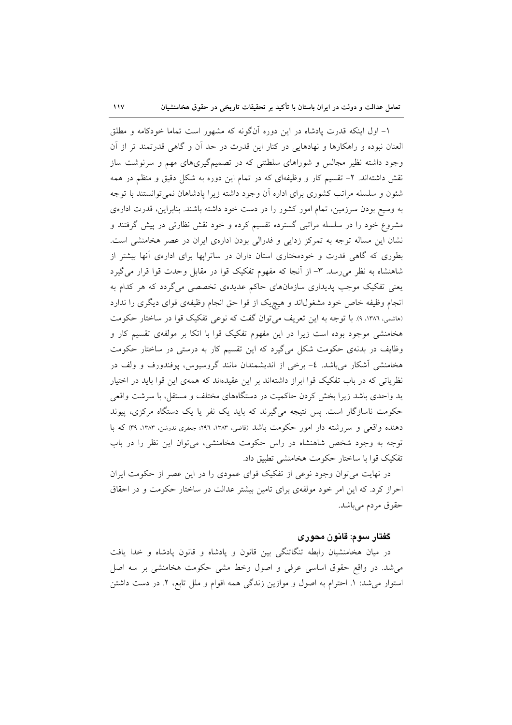$\mathcal{W}$ 

۱– اول اینکه قدرت پادشاه در این دوره آنگونه که مشهور است تماما خودکامه و مطلق العنان نبوده و راهکارها و نهادهایی در کنار این قدرت در حد آن و گاهی قدرتمند تر از آن وجود داشته نظیر مجالس و شوراهای سلطنتی که در تصمیمگیریهای مهم و سرنوشت ساز نقش داشتهاند. ۲– تقسیم کار و وظیفهای که در تمام این دوره به شکل دقیق و منظم در همه شئون و سلسله مراتب کشوری برای اداره آن وجود داشته زیرا یادشاهان نمی توانستند با توجه به وسیع بودن سرزمین، تمام امور کشور را در دست خود داشته باشند. بنابراین، قدرت ادارهی مشروع خود را در سلسله مراتبی گسترده تقسیم کرده و خود نقش نظارتی در پیش گرفتند و نشان این مساله توجه به تمرکز زدایی و فدرالی بودن ادارهی ایران در عصر هخامنشی است. بطوری که گاهی قدرت و خودمختاری استان داران در ساترایها برای ادارهی أنها بیشتر از شاهنشاه به نظر می رسد. ٣- از آنجا که مفهوم تفکیک قوا در مقابل وحدت قوا قرار می گیرد یعنی تفکیک موجب پدیداری سازمانهای حاکم عدیدهی تخصصی میگردد که هر کدام به انجام وظیفه خاص خود مشغولاند و هیچیک از قوا حق انجام وظیفهی قوای دیگری را ندارد (هاشمی، ١٣٨٦، ٩). با توجه به این تعریف میتوان گفت که نوعی تفکیک قوا در ساختار حکومت هخامنشی موجود بوده است زیرا در این مفهوم تفکیک قوا با اتکا بر مولفهی تقسیم کار و وظایف در بدنهی حکومت شکل میگیرد که این تقسیم کار به درستی در ساختار حکومت هخامنشی آشکار می باشد. ٤- برخی از اندیشمندان مانند گروسیوس، پوفندورف و ولف در نظریاتی که در باب تفکیک قوا ابراز داشتهاند بر این عقیدهاند که همهی این قوا باید در اختیار ید واحدی باشد زیرا بخش کردن حاکمیت در دستگاههای مختلف و مستقل، با سرشت واقعی حکومت ناسازگار است. پس نتیجه میگیرند که باید یک نفر یا یک دستگاه مرکزی، پیوند دهنده واقعی و سررشته دار امور حکومت باشد (قاضی، ۱۳۸۳، ۲۹۶؛ جعفری ندوشن، ۱۳۸۳، ۳۹) که با توجه به وجود شخص شاهنشاه در راس حکومت هخامنشی، می توان این نظر را در باب تفكيك قوا با ساختار حكومت هخامنشي تطبيق داد.

در نهایت می توان وجود نوعی از تفکیک قوای عمودی را در این عصر از حکومت ایران احراز کرد. که این امر خود مولفهی برای تامین بیشتر عدالت در ساختار حکومت و در احقاق حقوق مردم مي باشد.

## گفتار سوم: قانون محوری

در میان هخامنشیان رابطه تنگاتنگی بین قانون و یادشاه و قانون یادشاه و خدا یافت می شد. در واقع حقوق اساسی عرفی و اصول وخط مشی حکومت هخامنشی بر سه اصل استوار می شد: ١. احترام به اصول و موازين زندگی همه اقوام و ملل تابع، ٢. در دست داشتن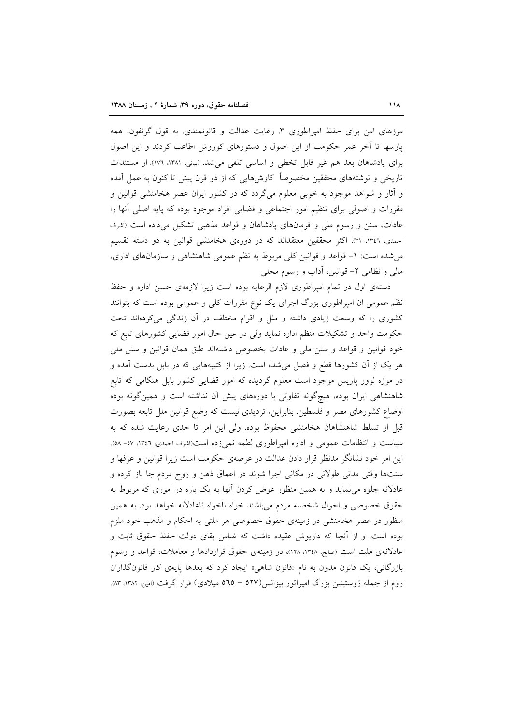مرزهای امن برای حفظ امیراطوری ۳. رعایت عدالت و قانونمندی. به قول گزنفون، همه یارسها تا آخر عمر حکومت از این اصول و دستورهای کوروش اطاعت کردند و این اصول برای پادشاهان بعد هم غیر قابل تخطی و اساسی تلقی میشد. (بیانی، ۱۳۸۱، ۱۷۲) از مستندات تاریخی و نوشتههای محققین مخصوصاً کاوش۵ایی که از دو قرن پیش تا کنون به عمل آمده و آثار و شواهد موجود به خوبی معلوم میگردد که در کشور ایران عصر هخامنشی قوانین و مقررات و اصولی برای تنظیم امور اجتماعی و قضایی افراد موجود بوده که پایه اصلی آنها را عادات، سنن و رسوم ملي و فرمانهاي يادشاهان و قواعد مذهبي تشكيل مي داده است (اشرف احمدی، ۱۳٤٦، ۳۱). اکثر محققین معتقداند که در دورهی هخامنشی قوانین به دو دسته تقسیم می شده است: ١- قواعد و قوانین کلی مربوط به نظم عمومی شاهنشاهی و سازمانهای اداری، مالي و نظامي ٢- قوانين، آداب و رسوم محلي

دستهی اول در تمام امیراطوری لازم الرعایه بوده است زیرا لازمهی حسن اداره و حفظ نظم عمومی ان امپراطوری بزرگ اجرای یک نوع مقررات کلی و عمومی بوده است که بتوانند کشوری را که وسعت زیادی داشته و ملل و اقوام مختلف در آن زندگی میکردهاند تحت حکومت واحد و تشکیلات منظم اداره نماید ولی در عین حال امور قضایی کشورهای تابع که خود قوانین و قواعد و سنن ملی و عادات بخصوص داشتهاند طبق همان قوانین و سنن ملی هر یک از اَن کشورها قطع و فصل می شده است. زیرا از کتیبههایی که در بابل بدست آمده و در موزه لوور پاریس موجود است معلوم گردیده که امور قضایی کشور بابل هنگامی که تابع شاهنشاهی ایران بوده، هیچگونه تفاوتی با دورههای پیش آن نداشته است و همینگونه بوده اوضاع کشورهای مصر و فلسطین بنابراین، تردیدی نیست که وضع قوانین ملل تابعه بصورت قبل از تسلط شاهنشاهان هخامنشی محفوظ بوده. ولی این امر تا حدی رعایت شده که به سیاست و انتظامات عمومی و اداره امپراطوری لطمه نمیزده است(اشرف احمدی، ۱۳٤٦، ۵۷-۵۸). این امر خود نشانگر مدنظر قرار دادن عدالت در عرصهی حکومت است زیرا قوانین و عرفها و سنتها وقتی مدتی طولانی در مکانی اجرا شوند در اعماق ذهن و روح مردم جا باز کرده و عادلانه جلوه می نماید و به همین منظور عوض کردن آنها به یک باره در اموری که مربوط به حقوق خصوصی و احوال شخصیه مردم می باشند خواه ناخواه ناعادلانه خواهد بود. به همین منظور در عصر هخامنشی در زمینهی حقوق خصوصی هر ملتی به احکام و مذهب خود ملزم بوده است. و از آنجا که داریوش عقیده داشت که ضامن بقای دولت حفظ حقوق ثابت و عادلانهی ملت است (صالح، ۱۳٤۸، ۱۲۸)، در زمینهی حقوق قراردادها و معاملات، قواعد و رسوم بازرگانی، یک قانون مدون به نام «قانون شاهی» ایجاد کرد که بعدها پایهی کار قانون گذاران روم از جمله ژوستینین بزرگ امیراتور بیزانس(۵۲۷ – ۵۳ه میلادی) قرار گرفت (امین، ۱۳۸۲، ۸۳).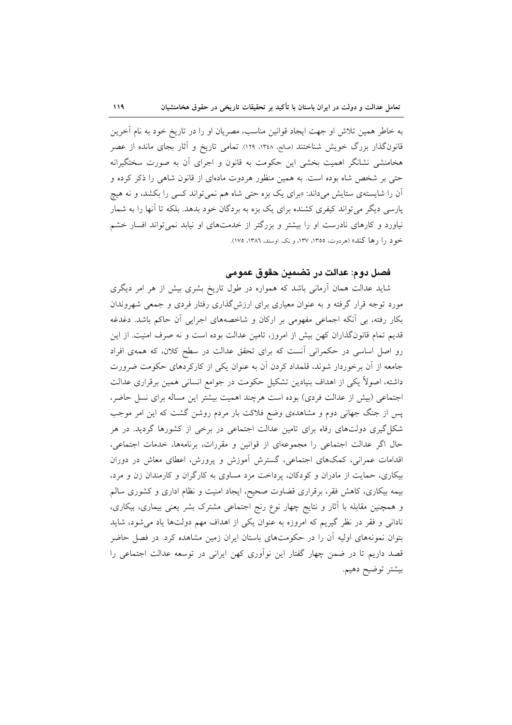به خاطر همین تلاش او جهت ایجاد قوانین مناسب، مصریان او را در تاریخ خود به نام آخرین قانونگذار بزرگ خویش شناختند (صالح. ۱۳٤۸، ۱۲۹). تمامی تاریخ و آثار بجای مانده از عصر هخامنشی نشانگر اهمیت بخشی این حکومت به قانون و اجرای آن به صورت سختگیرانه حتی بر شخص شاه بوده است. به همین منظور هردوت مادهای از قانون شاهی را ذکر کرده و آن را شایستهی ستایش میداند: «برای یک بزه حتبی شاه هم نمی تواند کسی را بکشد، و نه هیچ پارسی دیگر میتواند کیفری کشنده برای یک بزه به بردگان خود بدهد. بلکه تا آنها را به شمار نیاورد و کارهای نادرست او را بیشتر و بزرگتر از خدمتهای او نیابد نمیتواند افسار خشم خود را رها کند» (هردوت. ١٣٥٥، ١٣٧، و نک اوستد. ١٣٨٦، ١٧٥).

## فصل دوم: عدالت در تضمين حقوق عمومي

شاید عدالت همان آرمانی باشد که همواره در طول تاریخ بشری بیش از هر امر دیگری مورد توجه قرار گرفته و به عنوان معیاری برای ارزش\$ذاری رفتار فردی و جمعی شهروندان بکار رفته، بی آنکه اجماعی مفهومی بر ارکان و شاخصههای اجرایی آن حاکم باشد. دغدغه قدیم تمام قانونگذاران کهن بیش از امروز، تامین عدالت بوده است و نه صرف امنیت. از این رو اصل اساسی در حکمرانی آنست که برای تحقق عدالت در سطح کلان، که همهی افراد جامعه از آن برخوردار شوند، قلمداد کردن آن به عنوان یکی از کارکردهای حکومت ضرورت داشته، اصولاً یکی از اهداف بنیادین تشکیل حکومت در جوامع انسانی همین برقراری عدالت اجتماعی (بیش از عدالت فردی) بوده است هرچند اهمیت بیشتر این مساله برای نسل حاضر، پس از جنگ جهانی دوم و مشاهدهی وضع فلاکت بار مردم روشن گشت که این امر موجب شکل گیری دولتهای رفاه برای تامین عدالت اجتماعی در برخی از کشورها گردید. در هر حال اگر عدالت اجتماعی را مجموعهای از قوانین و مقررات، برنامهها، خدمات اجتماعی، اقدامات عمرانی، کمکهای اجتماعی، گسترش آموزش و پرورش، اعطای معاش در دوران بیکاری، حمایت از مادران و کودکان، پرداخت مزد مساوی به کارگران و کارمندان زن و مرد، بیمه بیکاری، کاهش فقر، برقراری قضاوت صحیح، ایجاد امنیت و نظام اداری و کشوری سالم و همچنین مقابله با آثار و نتایج چهار نوع رنج اجتماعی مشترک بشر یعنی بیماری، بیکاری، نادانی و فقر در نظر گیریم که امروزه به عنوان یکی از اهداف مهم دولتها یاد می شود، شاید بتوان نمونههای اولیه آن را در حکومتهای باستان ایران زمین مشاهده کرد. در فصل حاضر قصد داریم تا در ضمن چهار گفتار این نوآوری کهن ایرانی در توسعه عدالت اجتماعی را بيشتر توضيح دهيم.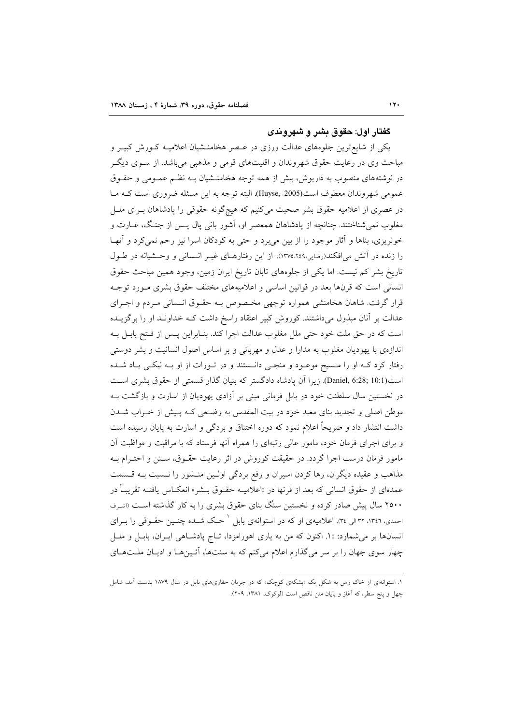## گفتار اول: حقوق بشر و شهروندی

یکی از شایع ترین جلوههای عدالت ورزی در عـصر هخامنــشیان اعلامیــه کــورش کبیــر و مباحث وی در رعایت حقوق شهروندان و اقلیتهای قومی و مذهبی میباشد. از ســوی دیگــر در نوشتههای منصوب به داریوش، بیش از همه توجه هخامنـشیان بــه نظــم عمــومی و حقــوق عمومي شهروندان معطوف است(Huyse, 2005). البته توجه به اين مسئله ضروري است كـه مـا در عصری از اعلامیه حقوق بشر صحبت میکنیم که هیچگونه حقوقی را پادشاهان بـرای ملـل مغلوب نمیشناختند. چنانچه از پادشاهان همعصر او، آشور بانی پال پــس از جنـگ، غــارت و خونریزی، بناها و آثار موجود را از بین میٍ برد و حتی به کودکان اسرا نیز رحم نمی کرد و آنهـا را زنده در آتش می افکند(رضایی،۱۳۷۵،۲٤۹). از این رفتارهـای غیـر انـسانی و وحـشیانه در طـول تاریخ بشر کم نیست. اما یکی از جلوههای تابان تاریخ ایران زمین، وجود همین مباحث حقوق انسانی است که قرنها بعد در قوانین اساسی و اعلامیههای مختلف حقوق بشری مـورد توجـه قرار گرفت. شاهان هخامنشی همواره توجهی مخصوص بـه حقـوق انـسانی مـردم و اجـرای عدالت بر آنان مبذول میداشتند. کوروش کبیر اعتقاد راسخ داشت کـه خداونـد او را برگزیــده است كه در حق ملت خود حتى ملل مغلوب عدالت اجرا كند. بنـابراين يـس از فـتح بابـل بـه اندازهی با یهودیان مغلوب به مدارا و عدل و مهربانی و بر اساس اصول انسانیت و بشر دوستی رفتار کرد کـه او را مـسیح موعـود و منجـی دانـستند و در تـورات از او بـه نیکـی یـاد شـده است(Daniel, 6:28; 10:1). زيرا آن يادشاه دادگستر كه بنيان گذار قسمتى از حقوق بشرى است در نخستین سال سلطنت خود در بابل فرمانی مبنی بر آزادی یهودیان از اسارت و بازگشت بـه موطن اصلی و تجدید بنای معبد خود در بیت المقدس به وضعی کـه پـیش از خـراب شــدن داشت انتشار داد و صریحاً اعلام نمود که دوره اختناق و بردگی و اسارت به پایان رسیده است و برای اجرای فرمان خود، مامور عالی رتبهای را همراه آنها فرستاد که با مراقبت و مواظبت آن مامور فرمان درست اجرا گردد. در حقیقت کوروش در اثر رعایت حقـوق، سـنن و احتـرام بـه مذاهب و عقیده دیگران، رها کردن اسیران و رفع بردگی اولـین منـشور را نـسبت بـه قـسمت عمدهای از حقوق انسانی که بعد از قرنها در «اعلامیـه حقـوق بــشر» انعکــاس یافتــه تقریبــاً در ۲۵۰۰ سال پیش صادر کرده و نخستین سنگ بنای حقوق بشری را به کار گذاشته است (اشرف احمدی، ۱۳٤٦، ۳۲ال<sub>ی</sub> ۳۶). اعلامیهی او که در استوانهی بابل <sup>۱</sup> حـک شــده چنــین حقــوقی را بــرای انسانها بر میشمارد: «۱. اکنون که من به یاری اهورامزدا، تـاج پادشـاهی ایــران، بابــل و ملــل چهار سوی جهان را بر سر میگذارم اعلام میکنم که به سنتها، آئینها و ادیان ملتهای

۱. استوانهای از خاک رس به شکل یک «بشکهی کوچک» که در جریان حفاریهای بابل در سال ۱۸۷۹ بدست آمد، شامل چهل و پنج سطر، که آغاز و پایان متن ناقص است (لوکوک، ۱۳۸۱، ۲۰۹).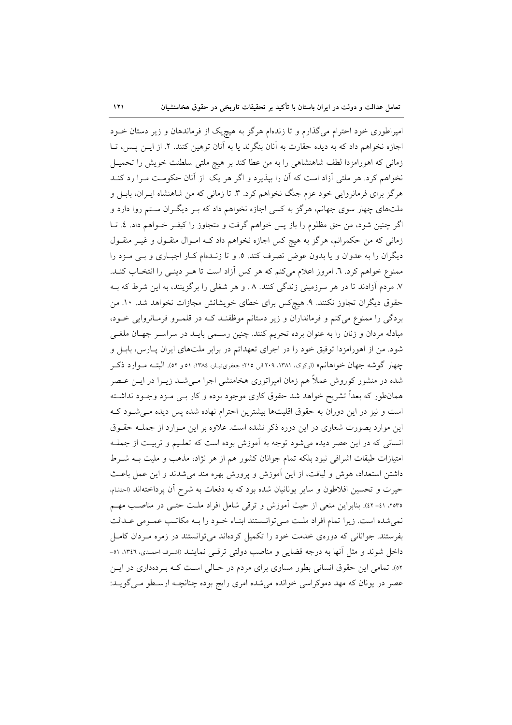$\lambda$ 

امپراطوری خود احترام می گذارم و تا زندهام هرگز به هیچیک از فرماندهان و زیر دستان خــود اجازه نخواهم داد که به دیده حقارت به آنان بنگرند یا به آنان توهین کنند. ۲. از ایـن پـس، تــا زمانی که اهورامزدا لطف شاهنشاهی را به من عطا کند بر هیچ ملتی سلطنت خویش را تحمیـل نخواهم کرد. هر ملتی آزاد است که آن را بپذیرد و اگر هر یک از آنان حکومت مـرا رد کنــد هرگز برای فرمانروایی خود عزم جنگ نخواهم کرد. ۳. تا زمانی که من شاهنشاه ایـران، بابـل و ملتهای چهار سوی جهانم، هرگز به کسی اجازه نخواهم داد که بـر دیگـران سـتم روا دارد و اگر چنین شود، من حق مظلوم را باز پس خواهم گرفت و متجاوز را کیفـر خــواهم داد. ٤. تــا زمانی که من حکمرانم، هرگز به هیچ کس اجازه نخواهم داد کـه امـوال منقـول و غیـر منقـول دیگران را به عدوان و یا بدون عوض تصرف کند. ٥. و تا زنـدهام کـار اجبـاری و بـی مـزد را ممنوع خواهم كرد. ٦. امروز اعلام مى كنم كه هر كس آزاد است تا هـر دينـى را انتخـاب كنـد. ۷. مردم آزادند تا در هر سرزمینی زندگی کنند. ۸. و هر شغلی را برگزینند، به این شرط که بـه حقوق دیگران تجاوز نکنند. ۹. هیچکس برای خطای خویشانش مجازات نخواهد شد. ۱۰. من بردگی را ممنوع میکنم و فرمانداران و زیر دستانم موظفنـد کـه در قلمـرو فرمـانروایی خـود، مبادله مردان و زنان را به عنوان برده تحریم کنند. چنین رسـمی بایـد در سراسـر جهـان ملغـی شود. من از اهورامزدا توفيق خود را در اجراى تعهداتم در برابر ملتهاى ايران پيارس، بابيل و چهار گوشه جهان خواهانم» (لوکوک، ۱۳۸۱، ۱۳۰۹الی ۲۱۵؛ جعفریتبار، ۱۳۸٤، ۵۱ و ۵۲). البتـه مـوارد ذکـر شده در منشور کوروش عملاً هم زمان امپراتوری هخامنشی اجرا مـیشـد زیــرا در ایــن عــصر همانطور که بعداً تشریح خواهد شد حقوق کاری موجود بوده و کار بــی مــزد وجــود نداشــته است و نیز در این دوران به حقوق اقلیتها بیشترین احترام نهاده شده پس دیده مـی شـود کـه این موارد بصورت شعاری در این دوره ذکر نشده است. علاوه بر این مـوارد از جملـه حقـوق انسانی که در این عصر دیده می شود توجه به آموزش بوده است که تعلیم و تربیـت از جملـه امتیازات طبقات اشرافی نبود بلکه تمام جوانان کشور هم از هر نژاد، مذهب و ملیت بــه شــرط داشتن استعداد، هوش و لیاقت، از این آموزش و پرورش بهره مند میشدند و این عمل باعث حیرت و تحسین افلاطون و سایر یونانیان شده بود که به دفعات به شرح آن پرداختهاند (احتشام، ٢٥٣ه. ٤١-٤٢). بنابراين منعي از حيث أموزش و ترقي شامل افراد ملت حتـبي در مناصـب مهـم نمی شده است. زیرا تمام افراد ملت مےتوانـستند ابنـاء خـود را بـه مکاتـب عمـومی عـدالت بفرستند. جوانانی که دورهی خدمت خود را تکمیل کردهاند می توانستند در زمره مـردان کامـل داخل شوند و مثل أنها به درجه قضایی و مناصب دولتی ترقبی نماینــد (اشـرف احمـدی، ۱۳٤٦، ۵۱-٥٢). تمامی این حقوق انسانی بطور مساوی برای مردم در حـالی اسـت کـه بـردهداری در ایـن عصر در یونان که مهد دموکراسی خوانده می شده امری رایج بوده چنانچـه ارسـطو مـی گویــد: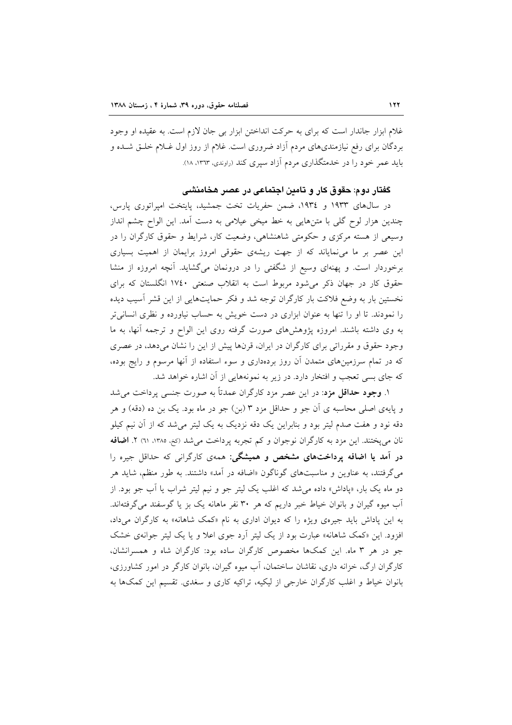غلام ابزار جاندار است که برای به حرکت انداختن ابزار بی جان لازم است. به عقیده او وجود بردگان برای رفع نیازمندیهای مردم آزاد ضروری است. غلام از روز اول غــلام خلــق شــده و باید عمر خود را در خدمتگذاری مردم آزاد سپری کند (راوندی، ١٣٦٣، ١٨).

## گفتار دوم: حقوق کار و تامین اجتماعی در عصر هخامنشی

در سالهای ۱۹۳۳ و ۱۹۳٤، ضمن حفریات تخت جمشید، پایتخت امپراتوری پارس، چندین هزار لوح گلی با متنهایی به خط میخی عیلامی به دست آمد. این الواح چشم انداز وسیعی از هسته مرکزی و حکومتی شاهنشاهی، وضعیت کار، شرایط و حقوق کارگران را در این عصر بر ما می نمایاند که از جهت ریشهی حقوقی امروز برایمان از اهمیت بسیاری برخوردار است. و یهنهای وسیع از شگفتی را در درونمان میگشاید. آنچه امروزه از منشا حقوق کار در جهان ذکر می شود مربوط است به انقلاب صنعتی ۱۷٤۰ انگلستان که برای نخستین بار به وضع فلاکت بار کارگران توجه شد و فکر حمایتهایی از این قشر آسیب دیده را نمودند. تا او را تنها به عنوان ابزاری در دست خویش به حساب نیاورده و نظری انسانی تر به وی داشته باشند. امروزه پژوهشهای صورت گرفته روی این الواح و ترجمه آنها، به ما وجود حقوق و مقرراتی برای کارگران در ایران، قرنها پیش از این را نشان میدهد، در عصری که در تمام سرزمینهای متمدن آن روز بردهداری و سوء استفاده از آنها مرسوم و رایج بوده، که جای بسی تعجب و افتخار دارد. در زیر به نمونههایی از آن اشاره خواهد شد.

۱. وجود حداقل مزد: در این عصر مزد کارگران عمدتاً به صورت جنسی پرداخت می شد و پایهی اصلی محاسبه ی آن جو و حداقل مزد ۳ (بن) جو در ماه بود. یک بن ده (دقه) و هر دقه نود و هفت صدم لیتر بود و بنابراین یک دقه نزدیک به یک لیتر میشد که از آن نیم کیلو نان می یختند. این مزد به کارگران نوجوان و کم تجربه پرداخت می شد (کنم، ۱۳۸۵، ۲۱) ۲. اضافه در آمد یا اضافه پرداختهای مشخص و همیشگی: همهی کارگرانی که حداقل جیره را میگرفتند، به عناوین و مناسبتهای گوناگون «اضافه در آمد» داشتند. به طور منظم، شاید هر دو ماه یک بار، «پاداش» داده می شد که اغلب یک لیتر جو و نیم لیتر شراب یا آب جو بود. از آب میوه گیران و بانوان خیاط خبر داریم که هر ۳۰ نفر ماهانه یک بز یا گوسفند می گرفتهاند. به این پاداش باید جیرهی ویژه را که دیوان اداری به نام «کمک شاهانه» به کارگران میداد، افزود. این «کمک شاهانه» عبارت بود از یک لیتر اَرد جوی اعلا و یا یک لیتر جوانهی خشک جو در هر ۳ ماه. این کمکها مخصوص کارگران ساده بود: کارگران شاه و همسرانشان، کارگران ارگ، خزانه داری، نقاشان ساختمان، آب میوه گیران، بانوان کارگر در امور کشاورزی، بانوان خیاط و اغلب کارگران خارجی از لیکیه، تراکیه کاری و سغدی. تقسیم این کمکها به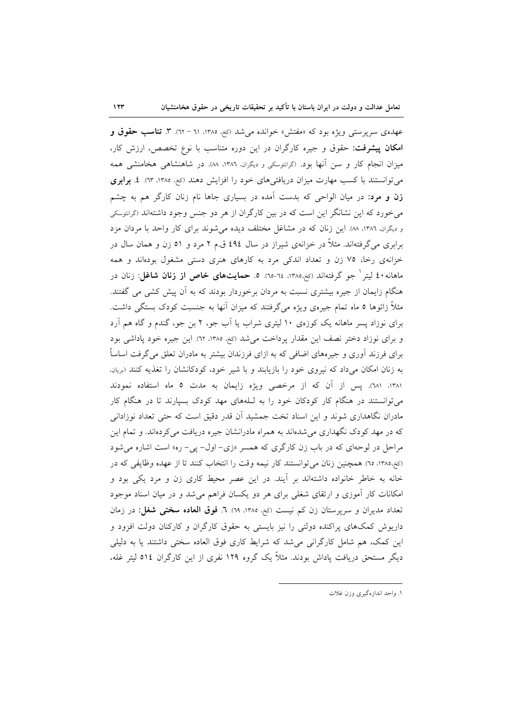عهدهی سرپرستی ویژه بود که «مفتش» خوانده میشد (کنم، ۱۳۸۵، ۳۱ – ۲۲). ۳. **تناسب حقوق و** امکان پیشرفت: حقوق و جیره کارگران در این دوره متناسب با نوع تخصص، ارزش کار، میزان انجام کار و سن آنها بود. (گرانتوسکی و دیگران، ۱۳۸۶، ۸۸). در شاهنشاهی هخامنشی همه می توانستند با کسب مهارت میزان دریافتیهای خود را افزایش دهند (کخ، ۱۳۸۵، ۱۳). ٤. **برابری زن و مرد**: در میان الواحی که بدست آمده در بسیاری جاها نام زنان کارگر هم به چشم می خورد که این نشانگر این است که در بین کارگران از هر دو جنس وجود داشتهاند (گرانتوسکی و دیگران، ١٣٨٦، ٨٨. این زنان که در مشاغل مختلف دیده می شوند برای کار واحد با مردان مزد برابری میگرفتهاند. مثلاً در خزانهی شیراز در سال ٤٩٤ ق.م ۲ مرد و ٥١ زن و همان سال در خزانهی رخا، ۷۵ زن و تعداد اندکی مرد به کارهای هنری دستی مشغول بودهاند و همه ماهانه **٤٠** لیتر <sup>(</sup> جو گرفتهاند (<sub>کخ</sub>،١٣٨٥، ٦٤-٦٥). ٥. **حمایتهای خاص از زنان شاغل**: زنان در هنگام زایمان از جیره بیشتری نسبت به مردان برخوردار بودند که به آن پیش کشی می گفتند. مثلاً زائوها ٥ ماه تمام جیرهی ویژه میگرفتند که میزان آنها به جنسبت کودک بستگی داشت. برای نوزاد پسر ماهانه یک کوزهی ۱۰ لیتری شراب یا آب جو، ۲ بن جو، گندم و گاه هم آرد و برای نوزاد دختر نصف این مقدار پرداخت می شد (کنم، ۱۳۸۵، ۱۲). این جیره خود پاداشی بود برای فرزند آوری و جیرههای اضافی که به ازای فرزندان بیشتر به مادران تعلق می گرفت اساساً به زنان امکان میداد که نیروی خود را بازیابند و با شیر خود، کودکانشان را تغذیه کنند (بریان. ١٣٨١، ٦٨١). يس از آن كه از مرخصى ويژه زايمان به مدت ٥ ماه استفاده نمودند می توانستند در هنگام کار کودکان خود را به للههای مهد کودک بسیارند تا در هنگام کار مادران نگاهداری شوند و این اسناد تخت جمشید اَن قدر دقیق است که حتی تعداد نوزادانی که در مهد کودک نگهداری می شدهاند به همراه مادرانشان جیره دریافت می کردهاند. و تمام این مراحل در لوحهای که در باب زن کارگری که همسر «زی- اول- پی- ره» است اشاره می شود (كَنْ١٣٨٥، ٦٥). همچنين زنان مي توانستند كار نيمه وقت را انتخاب كنند تا از عهده وظايفي كه در خانه به خاطر خانواده داشتهاند بر آیند. در این عصر محیط کاری زن و مرد یکی بود و امکانات کار آموزی و ارتقای شغلی برای هر دو یکسان فراهم می شد و در میان اسناد موجود تعداد مديران و سرپرستان زن كم نيست (كغ، ١٣٨٥، ٦٩). ٦. فوق العاده سختى شغل: در زمان داریوش کمکهای پراکنده دولتی را نیز بایستی به حقوق کارگران و کارکنان دولت افزود و این کمک، هم شامل کارگرانی میشد که شرایط کاری فوق العاده سختی داشتند یا به دلیلی دیگر مستحق دریافت پاداش بودند. مثلاً یک گروه ۱۲۹ نفری از این کارگران ٥١٤ لیتر غله،

١. واحد اندازهگیری وزن غلات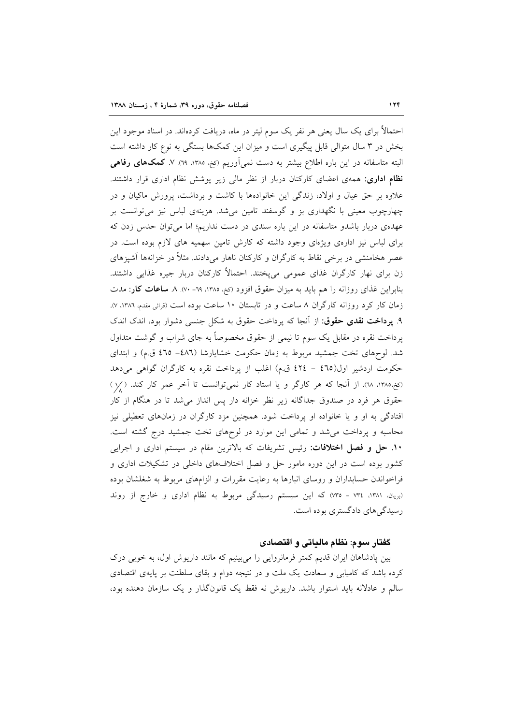احتمالاً برای یک سال یعنی هر نفر یک سوم لیتر در ماه، دریافت کردهاند. در اسناد موجود این بخش در ۳ سال متوالی قابل پیگیری است و میزان این کمکها بستگی به نوع کار داشته است البته متاسفانه در این باره اطلاع بیشتر به دست نمیآوریم (کخ، ۱۳۸۵، ۲۹). ۷. **کمکهای رفاهی** <mark>نظام اداری</mark>: همهی اعضای کارکنان دربار از نظر مال<sub>ی</sub> زیر پوشش نظام اداری قرار داشتند. علاوه بر حق عیال و اولاد، زندگی این خانوادهها با کاشت و برداشت، پرورش ماکیان و در چهارچوب معینی با نگهداری بز و گوسفند تامین میشد. هزینهی لباس نیز میتوانست بر عهدهی دربار باشدو متاسفانه در این باره سندی در دست نداریم؛ اما می توان حدس زدن که برای لباس نیز ادارهی ویژهای وجود داشته که کارش تامین سهمیه های لازم بوده است. در عصر هخامنشی در برخی نقاط به کارگران و کارکنان ناهار میدادند. مثلاً در خزانهها آشپزهای زن برای نهار کارگران غذای عمومی میپختند. احتمالاً کارکنان دربار جیره غذایی داشتند. بنابراین غذای روزانه را هم باید به میزان حقوق افزود (کغ، ۱۳۸۵، ٦۹- ۷۰). ۸ **ساعات کار**: مدت زمان کار کرد روزانه کارگران ۸ ساعت و در تابستان ۱۰ ساعت بوده است (قرائی مقدم، ۱۳۸۲، ۷). ۹. پرداخت نقدی حقوق: از آنجا که پرداخت حقوق به شکل جنسی دشوار بود، اندک اندک پرداخت نقره در مقابل یک سوم تا نیمی از حقوق مخصوصاً به جای شراب و گوشت متداول شد. لوحهای تخت جمشید مربوط به زمان حکومت خشایارشا (٤٨٦- ٤٦٥ ق.م) و ابتدای حكومت اردشير اول(٤٦٥ - ٤٢٤ ق.م) اغلب از پرداخت نقره به كارگران گواهي مى دهد (کَخِ،١٣٨٥، ٦٨). از آنجا که هر کارگر و یا استاد کار نمیتوانست تا آخر عمر کار کند. ( /١) حقوق هر فرد در صندوق جداگانه زیر نظر خزانه دار پس انداز می شد تا در هنگام از کار افتادگی به او و یا خانواده او پرداخت شود. همچنین مزد کارگران در زمانهای تعطیلی نیز محاسبه و پرداخت می شد و تمامی این موارد در لوحهای تخت جمشید درج گشته است. **۱۰. حل و فصل اختلافات:** رئيس تشريفات كه بالاترين مقام در سيستم ادارى و اجرايي کشور بوده است در این دوره مامور حل و فصل اختلافهای داخلی در تشکیلات اداری و فراخواندن حسابداران و روسای انبارها به رعایت مقررات و الزامهای مربوط به شغلشان بوده (بریان، ۱۳۸۱، ۱۳۴، سه) که این سیستم رسیدگی مربوط به نظام اداری و خارج از روند رسیدگیهای دادگستری بوده است.

#### كفتار سوم: نظام مالياتي و اقتصادي

بین پادشاهان ایران قدیم کمتر فرمانروایی را میبینیم که مانند داریوش اول، به خوبی درک کرده باشد که کامیابی و سعادت یک ملت و در نتیجه دوام و بقای سلطنت بر پایهی اقتصادی سالم و عادلانه باید استوار باشد. داریوش نه فقط یک قانونگذار و یک سازمان دهنده بود،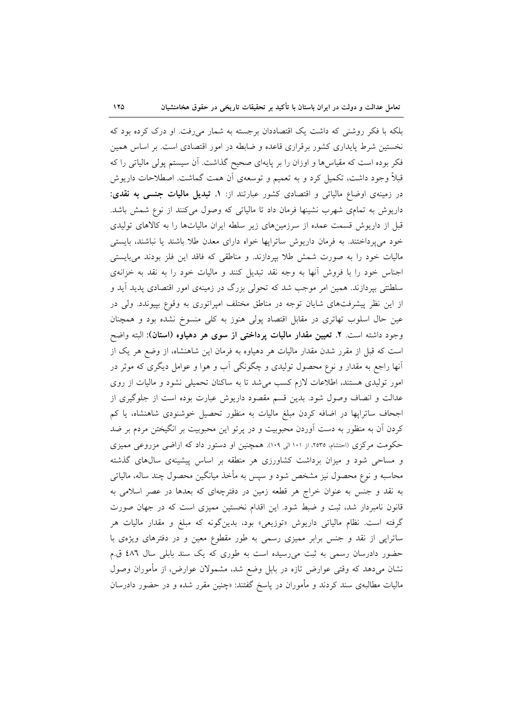بلکه با فکر روشنی که داشت یک اقتصاددان برجسته به شمار میرفت. او درک کرده بود که نخستین شرط پایداری کشور برقراری قاعده و ضابطه در امور اقتصادی است. بر اساس همین فکر بوده است که مقیاسها و اوزان را بر پایهای صحیح گذاشت. آن سیستم پولی مالیاتی را که قبلاً وجود داشت، تکمیل کرد و به تعمیم و توسعهی اَن همت گماشت. اصطلاحات داریوش در زمینهی اوضاع مالیاتی و اقتصادی کشور عبارتند از: ۱. تبدیل مالیات جنسی به نقدی: داریوش به تمامی شهرب نشینها فرمان داد تا مالیاتی که وصول میکنند از نوع شمش باشد. قبل از داریوش قسمت عمده از سرزمینهای زیر سلطه ایران مالیاتها را به کالاهای تولیدی خود می یرداختند. به فرمان داریوش ساترایها خواه دارای معدن طلا باشند یا نباشند، بایستی مالیات خود را به صورت شمش طلا بپردازند. و مناطقی که فاقد این فلز بودند میبایستی اجناس خود را با فروش أنها به وجه نقد تبدیل کنند و مالیات خود را به نقد به خزانهی سلطنتی بیردازند. همین امر موجب شد که تحولی بزرگ در زمینهی امور اقتصادی پدید آید و از این نظر پیشرفتهای شایان توجه در مناطق مختلف امپراتوری به وقوع بپیوندد. ولی در عین حال اسلوب تهاتری در مقابل اقتصاد پولی هنوز به کلی منسوخ نشده بود و همچنان وجود داشته است. ٢. تعیین مقدار مالیات پرداختی از سوی هر دهیاوه (استان): البته واضح است که قبل از مقرر شدن مقدار مالیات هر دهیاوه به فرمان این شاهنشاه، از وضع هر یک از آنها راجع به مقدار و نوع محصول تولیدی و چگونگی آب و هوا و عوامل دیگری که موثر در امور تولیدی هستند، اطلاعات لازم کسب می شد تا به ساکنان تحمیلی نشود و مالیات از روی عدالت و انصاف وصول شود. بدین قسم مقصود داریوش عبارت بوده است از جلوگیری از اجحاف ساترایها در اضافه کردن مبلغ مالیات به منظور تحصیل خوشنودی شاهنشاه، یا کم کردن آن به منظور به دست آوردن محبوبیت و در پرتو این محبوبیت بر انگیختن مردم بر ضد حکومت مرکزی (احتشام، ۲۵۳۵، از ۱۰۱ الی ۱۰۹). همچنین او دستور داد که اراضی مزروعی ممیزی و مساحی شود و میزان برداشت کشاورزی هر منطقه بر اساس پیشینهی سالهای گذشته محاسبه و نوع محصول نیز مشخص شود و سپس به مأخذ میانگین محصول چند ساله، مالیاتی به نقد و جنس به عنوان خراج هر قطعه زمین در دفترچهای که بعدها در عصر اسلامی به قانون نامبردار شد، ثبت و ضبط شود. این اقدام نخستین ممیزی است که در جهان صورت گرفته است. نظام مالیاتی داریوش «توزیعی» بود، بدینگونه که مبلغ و مقدار مالیات هر ساتراپی از نقد و جنس برابر ممیزی رسمی به طور مقطوع معین و در دفترهای ویژهی با حضور دادرسان رسمی به ثبت میرسیده است به طوری که یک سند بابلی سال ٤٨٦ ق.م نشان میدهد که وقتی عوارض تازه در بابل وضع شد، مشمولان عوارض، از مأموران وصول مالیات مطالبهی سند کردند و مأموران در پاسخ گفتند: «چنین مقرر شده و در حضور دادرسان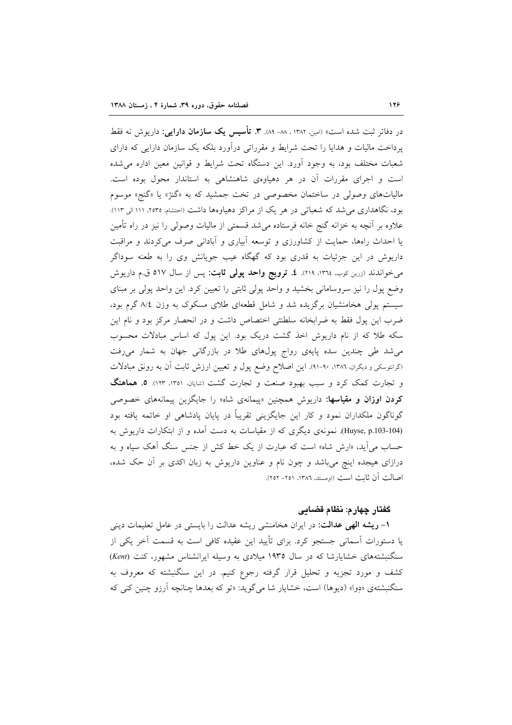در دفاتر ثبت شده است» (امین ۱۳۸۲ . ۸۸- ۸۹). **۳. تأسیس یک سازمان دارایی**: داریوش نه فقط پرداخت مالیات و هدایا را تحت شرایط و مقرراتی درآورد بلکه یک سازمان دارایی که دارای شعبات مختلف بود، به وجود آورد. این دستگاه تحت شرایط و قوانین معین اداره می شده است و اجرای مقررات آن در هر دهیاوهی شاهنشاهی به استاندار محول بوده است. مالیاتهای وصولی در ساختمان مخصوصی در تخت جمشید که به «گنژ» یا «گنج» موسوم بود، نگاهداری می شد که شعباتی در هر یک از مراکز دهیاوهها داشت (احتشام، ۲۵۳۵، ۱۱۱الی ۱۱۳). علاوه بر آنچه به خزانه گنج خانه فرستاده میشد قسمتی از مالیات وصولی را نیز در راه تأمین یا احداث راهها، حمایت از کشاورزی و توسعه آبیاری و آبادانی صرف می کردند و مراقبت داریوش در این جزئیات به قدری بود که گهگاه عیب جویانش وی را به طعنه سوداگر میخواندند (زرین کوب، ۱۳۶، ۲۱۹). **٤. ترویج واحد پولی ثابت:** پس از سال ۵۱۷ ق.م داریوش وضع یول را نیز سروسامانی بخشید و واحد یولی ثابتی را تعیین کرد. این واحد یولی بر مبنای سیستم پولی هخامنشیان برگزیده شد و شامل قطعهای طلای مسکوک به وزن ۸/٤ گرم بود، ضرب این پول فقط به ضرابخانه سلطنتی اختصاص داشت و در انحصار مرکز بود و نام این سکه طلا که از نام داریوش اخذ گشت دریک بود. این پول که اساس مبادلات محسوب می شد طی چندین سده پایهی رواج پولهای طلا در بازرگانی جهان به شمار میرفت (گرانتوسکی و دیگران. ۱۳۸۲، ۹۰-۹۱). این اصلاح وضع پول و تعیین ارزش ثابت اّن به رونق مبادلات و تجارت کمک کرد و سبب بهبود صنعت و تجارت گشت (شایان، ۱۳۵۱، ۱۲۳). ۵. هماهنگ کردن اوزان و مقیاسها: داریوش همچنین «پیمانهی شاه» را جایگزین پیمانههای خصوصی گوناگون ملکداران نمود و کار این جایگزینی تقریباً در پایان پادشاهی او خاتمه یافته بود (Huyse, p.103-104). نمونهی دیگری که از مقیاسات به دست آمده و از ابتکارات داریوش به حساب می[ید، «ارش شاه» است که عبارت از یک خط کش از جنس سنگ اَهک سیاه و به درازای هیجده اینچ میباشد و چون نام و عناوین داریوش به زبان اکدی بر آن حک شده، اصالت أن ثابت است (اومستد، ١٣٨٦، ٢٥١– ٢٥٢).

#### گفتار چهارم: نظام قضایی

۱– **ریشه الهی عدالت**: در ایران هخامنشی ریشه عدالت را بایستی در عامل تعلیمات دینی یا دستورات اَسمانی جستجو کرد. برای تأیید این عقیده کافی است به قسمت اَخر یکی از سنگنبشتههای خشایارشا که در سال ۱۹۳۵ میلادی به وسیله ایرانشناس مشهور، کنت (Kent) کشف و مورد تجزیه و تحلیل قرار گرفته رجوع کنیم. در این سنگنبشته که معروف به سنگنبشتهی «دِوا» (دیوِها) است، خشایار شا می گوید: «تو که بعدها چنانچه آرزو چنین کنی که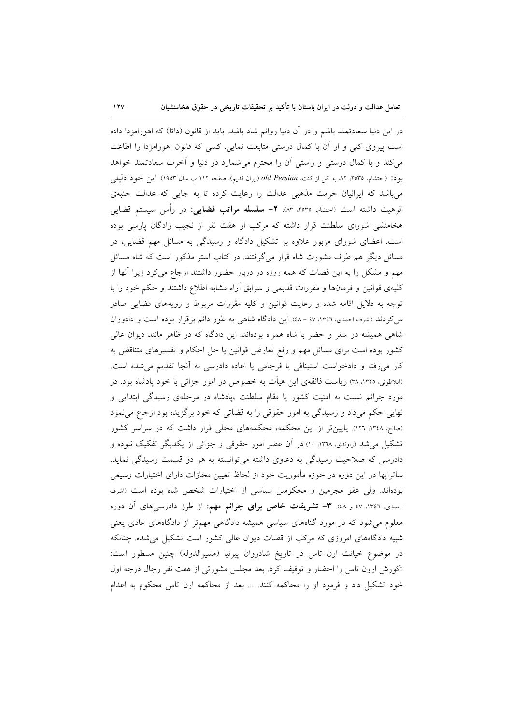$\sqrt{11}$ 

در این دنیا سعادتمند باشم و در آن دنیا روانم شاد باشد، باید از قانون (داتا) که اهورامزدا داده است پیروی کنی و از آن با کمال درستی متابعت نمایی. کسی که قانون اهورامزدا را اطاعت می کند و با کمال درستی و راستی آن را محترم میشمارد در دنیا و اَخرت سعادتمند خواهد بود» (احتشام، ٢٥٣٥، ٨٢ به نقل از كنت، old Persian (ايران قديم)، صفحه ١١٢ ب سال ١٩٥٣). اين خود دليلي میباشد که ایرانیان حرمت مذهبی عدالت را رعایت کرده تا به جایی که عدالت جنبهی الوهيت داشته است (احتشام، ٢٥٣٥، ٨٣. ٢- **سلسله مراتب قضايي**: در رأس سيستم قضايي هخامنشی شورای سلطنت قرار داشته که مرکب از هفت نفر از نجیب زادگان پارسی بوده است. اعضای شورای مزبور علاوه بر تشکیل دادگاه و رسیدگی به مسائل مهم قضایی، در مسائل دیگر هم طرف مشورت شاه قرار میگرفتند. در کتاب استر مذکور است که شاه مسائل مهم و مشکل را به این قضات که همه روزه در دربار حضور داشتند ارجاع می کرد زیرا آنها از کلیهی قوانین و فرمانها و مقررات قدیمی و سوابق آراء مشابه اطلاع داشتند و حکم خود را با توجه به دلایل اقامه شده و رعایت قوانین و کلیه مقررات مربوط و رویههای قضایی صادر می کردند (اشرف احمدی، ۱۳٤٦، ٤٧ - ٤٨). این دادگاه شاهی به طور دائم برقرار بوده است و دادوران شاهی همیشه در سفر و حضر با شاه همراه بودهاند. این دادگاه که در ظاهر مانند دیوان عالی کشور بوده است برای مسائل مهم و رفع تعارض قوانین یا حل احکام و تفسیرهای متناقض به کار میرفته و دادخواست استینافی یا فرجامی یا اعاده دادرسی به آنجا تقدیم می شده است. (افلاطونی، ۱۳۲۵، ۳۸) ریاست فائقهی این هیأت به خصوص در امور جزائی با خود پادشاه بود. در مورد جرائم نسبت به امنیت کشور یا مقام سلطنت ،پادشاه در مرحلهی رسیدگی ابتدایی و نهایی حکم میداد و رسیدگی به امور حقوقی را به قضاتی که خود برگزیده بود ارجاع می نمود (صالح، ۱۳٤۸، ۱۲۶۱). پایین تر از این محکمه، محکمههای محلی قرار داشت که در سراسر کشور تشکیل می شد (راوندی، ۱۳۶۸، ۱۰) در آن عصر امور حقوقی و جزائی از یکدیگر تفکیک نبوده و دادرسی که صلاحیت رسیدگی به دعاوی داشته می توانسته به هر دو قسمت رسیدگی نماید. ساترايها در اين دوره در حوزه مأموريت خود از لحاظ تعيين مجازات داراي اختيارات وسيعي بودهاند. ولي عفو مجرمين و محكومين سياسي از اختيارات شخص شاه بوده است (اشرف احمدی، ۱۳٤٦، ۱۷ و ٤٨). ۳- **تشریفات خاص برای جرائم مهم:** از طرز دادرس<sub>ی</sub>های آن دوره معلوم می شود که در مورد گناههای سیاسی همیشه دادگاهی مهمتر از دادگاههای عادی یعنی شبیه دادگاههای امروزی که مرکب از قضات دیوان عالی کشور است تشکیل می شده. چنانکه در موضوع خیانت ارن تاس در تاریخ شادروان پیرنیا (مشیرالدوله) چنین مسطور است: «کورش ارون تاس را احضار و توقیف کرد. بعد مجلس مشورتی از هفت نفر رجال درجه اول خود تشکیل داد و فرمود او را محاکمه کنند. … بعد از محاکمه ارن تاس محکوم به اعدام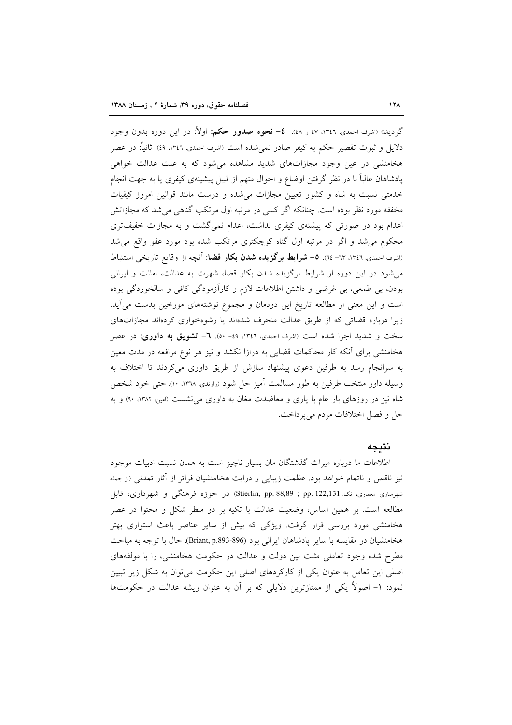گردید» (اشرف احمدی، ۱۳٤٦، ٤٧ و ٤٨). **٤– نحوه صدور حکم:** اولاً: در این دوره بدون وجود دلایل و ثبوت تقصیر حکم به کیفر صادر نمیشده است (اشرف احمدی، ۱۳٤٦، ٤٩). ثانیاً: در عصر هخامنشی در عین وجود مجازاتهای شدید مشاهده می شود که به علت عدالت خواهی پادشاهان غالباً با در نظر گرفتن اوضاع و احوال متهم از قبیل پیشینهی کیفری یا به جهت انجام خدمتی نسبت به شاه و کشور تعیین مجازات می شده و درست مانند قوانین امروز کیفیات مخففه مورد نظر بوده است. چنانکه اگر کسی در مرتبه اول مرتکب گناهی می شد که مجازاتش اعدام بود در صورتی که پیشنهی کیفری نداشت، اعدام نمیگشت و به مجازات خفیفتری محکوم می شد و اگر در مرتبه اول گناه کوچکتری مرتکب شده بود مورد عفو واقع می شد (اشرف احمدی، ١٣٤٦، ٦٣- ٢٤). ٥– **شرايط برگزيده شدن بكار قضا**: آنچه از وقايع تاريخي استنباط می شود در این دوره از شرایط برگزیده شدن بکار قضا، شهرت به عدالت، امانت و ایرانی بودن، بي طمعي، بي غرضي و داشتن اطلاعات لازم و كارآزمودگي كافي و سالخوردگي بوده است و این معنی از مطالعه تاریخ این دودمان و مجموع نوشتههای مورخین بدست می آید. زیرا درباره قضاتی که از طریق عدالت منحرف شدهاند یا رشوهخواری کردهاند مجازاتهای سخت و شدید اجرا شده است (اشرف احمدی، ۱۳٤٦، ۵۹- ۵۰). ٦- تشویق به داوری: در عصر هخامنشی برای آنکه کار محاکمات قضایی به درازا نکشد و نیز هر نوع مرافعه در مدت معین به سرانجام رسد به طرفین دعوی پیشنهاد سازش از طریق داوری می کردند تا اختلاف به وسیله داور منتخب طرفین به طور مسالمت اَمیز حل شود (راوندی، ۱۳۳۸، ۱۰). حتی خود شخص شاه نیز در روزهای بار عام با یاری و معاضدت مغان به داوری می نشست (امین، ۱۳۸۲، ۹۰) و به حل و فصل اختلافات مردم میپرداخت.

### نتىحە

اطلاعات ما درباره میراث گذشتگان مان بسیار ناچیز است به همان نسبت ادبیات موجود نیز ناقص و ناتمام خواهد بود. عظمت زیبایی و درایت هخامنشیان فراتر از آثار تمدن<sub>ی</sub> (از جمله شهرسازی معماری، نک Stierlin, pp. 88,89 ; pp. 122,131) در حوزه فرهنگی و شهرداری، قابل مطالعه است. بر همین اساس، وضعیت عدالت با تکیه بر دو منظر شکل و محتوا در عصر هخامنشی مورد بررسی قرار گرفت. ویژگی که بیش از سایر عناصر باعث استواری بهتر هخامنشیان در مقایسه با سایر یادشاهان ایرانی بود (896-Briant, p.893). حال با توجه به مباحث مطرح شده وجود تعاملی مثبت بین دولت و عدالت در حکومت هخامنشی، را با مولفههای اصلی این تعامل به عنوان یکی از کارکردهای اصلی این حکومت می توان به شکل زیر تبیین نمود: ١- اصولاً یکی از ممتازترین دلایلی که بر آن به عنوان ریشه عدالت در حکومتها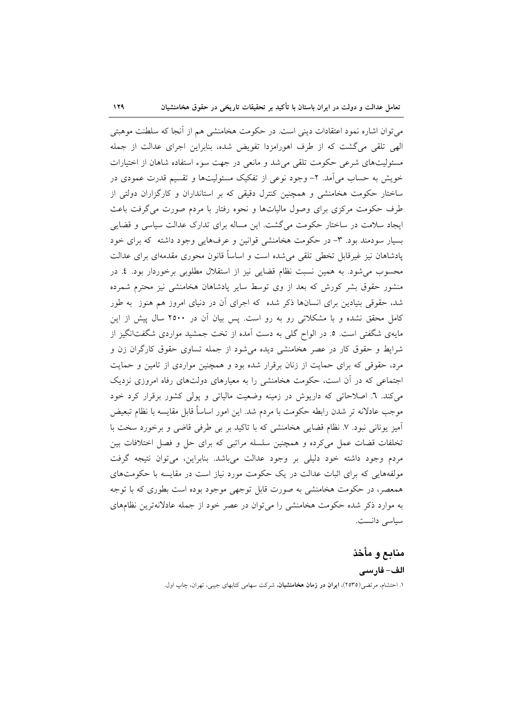می توان اشاره نمود اعتقادات دینی است. در حکومت هخامنشی هم از آنجا که سلطنت موهبتی الهي تلقى مى گشت كه از طرف اهورامزدا تفويض شده، بنابراين اجراى عدالت از جمله مسئولیتهای شرعی حکومت تلقی می شد و مانعی در جهت سوء استفاده شاهان از اختیارات خویش به حساب میآمد. ۲- وجود نوعی از تفکیک مسئولیتها و تقسیم قدرت عمودی در ساختار حکومت هخامنشی و همچنین کنترل دقیقی که بر استانداران و کارگزاران دولتی از طرف حکومت مرکزی برای وصول مالیاتها و نحوه رفتار با مردم صورت می گرفت باعث ایجاد سلامت در ساختار حکومت می گشت. این مساله برای تدارک عدالت سیاسی و قضایی بسیار سودمند بود. ۳- در حکومت هخامنشی قوانین و عرفهایی وجود داشته که برای خود پادشاهان نیز غیرقابل تخطی تلقی می شده است و اساساً قانون محوری مقدمهای برای عدالت محسوب می شود. به همین نسبت نظام قضایی نیز از استقلال مطلوبی برخوردار بود. ٤. در منشور حقوق بشر کورش که بعد از وی توسط سایر یادشاهان هخامنشی نیز محترم شمرده شد، حقوقی بنیادین برای انسانها ذکر شده که اجرای اَن در دنیای امروز هم هنوز به طور کامل محقق نشده و با مشکلاتی رو به رو است. پس بیان آن در ۲۵۰۰ سال پیش از این مایهی شگفتی است. ٥. در الواح گلی به دست آمده از تخت جمشید مواردی شگفتانگیز از شرایط و حقوق کار در عصر هخامنشی دیده می شود از جمله تساوی حقوق کارگران زن و مرد، حقوقی که برای حمایت از زنان برقرار شده بود و همچنین مواردی از تامین و حمایت اجتماعی که در أن است، حکومت هخامنشی را به معیارهای دولتهای رفاه امروزی نزدیک می کند. ٦. اصلاحاتی که داریوش در زمینه وضعیت مالیاتی و پولی کشور برقرار کرد خود موجب عادلانه تر شدن رابطه حکومت با مردم شد. این امور اساساً قابل مقایسه با نظام تبعیض آمیز یونانی نبود. ۷. نظام قضایی هخامنشی که با تاکید بر بی طرفی قاضی و برخورد سخت با تخلفات قضات عمل می کرده و همچنین سلسله مراتبی که برای حل و فصل اختلافات بین مردم وجود داشته خود دلیلی بر وجود عدالت میباشد. بنابراین، می توان نتیجه گرفت مولفههایی که برای اثبات عدالت در یک حکومت مورد نیاز است در مقایسه با حکومتهای همعصر، در حکومت هخامنشی به صورت قابل توجهی موجود بوده است بطوری که با توجه به موارد ذکر شده حکومت هخامنشی را می توان در عصر خود از جمله عادلانهترین نظامهای سياسى دانست.

## منابع و مأخذ

## الف– فارسى ۱. احتشام، مرتضی(۲۵۳۵)، **ایران در زمان هخامنشیان**، شرکت سهامی کتابهای جیبی، تهران، چاپ اول.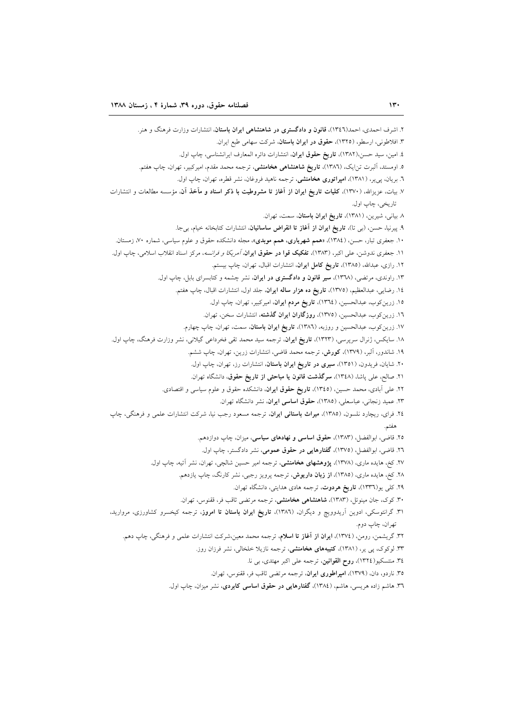۲. اشرف احمدی، احمد(۱۳٤٦)، قانون و دادگستری در شاهنشاهی ایران باستان، انتشارات وزارت فرهنگ و هنر. ۳. افلاطونی، ارسطو، (۱۳۲۵)، حقوق در ایران باستان، شرکت سهامی طبع ایران. ٤. امين، سيد حسن،(١٣٨٢)، تاريخ حقوق ايران، انتشارات دائره المعارف ايرانشناسي، چاپ اول. ۵. اومستد، آلبرت تن|یک، (١٣٨٦)، **تاریخ شاهنشاهی هخامنشی**، ترجمه محمد مقدم، امیرکبیر، تهران، چاپ هفتم. ٦. بریان، پی یر، (١٣٨١)، **امپراتوری هخامنشی**، ترجمه ناهید فروغان، نشر قطره، تهران، چاپ اول. ۷. بیات، عزیزالله، (۱۳۷۰)، کلیات تاریخ ایران از آغاز تا مشروطیت با ذکر اسناد و مآخذ آن، مؤسسه مطالعات و انتشارات تاريخي، چاپ اول. ٨ بياني، شيرين، (١٣٨١)، تاريخ ايران باستان، سمت، تهران. ۹. پیرنیا، حسن، (بی تا)، **تاریخ ایران از آغاز تا انقراض ساسانیان**، انتشارات کتابخانه خیام، بیجا. ۱۰. جعفری تبار، حسن، (۱۳۸٤)، «همم شهریاری، همم موبدی»، مجله دانشکده حقوق و علوم سیاسی، شماره ۷۰، زمستان. ١١. جعفری ندوشن، علی اکبر، (١٣٨٣)، **تفکیک قوا در حقوق ایران***، آمریکا و فرانسه*، مرکز اسناد انقلاب اسلامی، چاپ اول. ۱۲. رازی، عبدالله، (۱۳۸۵)، **تاریخ کامل ایران**، انتشارات اقبال، تهران، چاپ بیستم. ۱۳. راوندی، مرتضی، (۱۳٦۸)، **سیر قانون و دادگستری در ایران**، نشر چشمه و کتابسرای بابل، چاپ اول. ١٤. رضايي، عبدالعظيم، (١٣٧٥)، تاريخ ده هزار ساله ايران، جلد اول، انتشارات اقبال، چاپ هفتم. ١٥. زرين كوب، عبدالحسين، (١٣٦٤)، تاريخ مردم ايران، اميركبير، تهران، چاپ اول. ١٦. زرين كوب، عبدالحسين، (١٣٧٥)، **روزگاران ايران گذشته**، انتشارات سخن، تهران. ۱۷. زرین کوب، عبدالحسین و روزبه، (۱۳۸٦)، **تاریخ ایران باستان**، سمت، تهران، چاپ چهارم. ۱۸. سایکس، ژنرال سرپرسی، (۱۳۲۳)، **تاریخ ایران**، ترجمه سید محمد تقی فخرداعی گیلانی، نشر وزارت فرهنگ، چاپ اول. ۱۹. شاندور، آلبر، (۱۳۷۹)، **کورش**، ترجمه محمد قاضی، انتشارات زرین، تهران، چاپ ششم. ۲۰. شایان، فریدون، (۱۳۵۱)، **سیری در تاریخ ایران باستان**، انتشارات رز، تهران، چاپ اول. ٢١. صالح، على باشا، (١٣٤٨)، **سركذشت قانون يا مباحثى از تاريخ حقوق**، دانشگاه تهران. ۲۲. علی آبادی، محمد حسین، (۱۳٤٥)، **تاریخ حقوق ایران**، دانشکده حقوق و علوم سیاسی و اقتصادی. ۲۳. عمید زنجانی، عباسعلی، (۱۳۸۵)، حقوق اساسی ایران، نشر دانشگاه تهران. ٢٤. فرای، ریچارد نلسون، (١٣٨٥)، میراث باستانی ایران، ترجمه مسعود رجب نیا، شرکت انتشارات علمی و فرهنگی، چاپ هفتم ۲۵. قاضی، ابوالفضل، (۱۳۸۳)، حقوق اساسی و نهادهای سیاسی، میزان، چاپ دوازدهم. ٢٦. قاضی، ابوالفضل، (١٣٧٥)، **گفتارهایی در حقوق عمومی**، نشر دادگستر، چاپ اول. ۲۷. کخ، هایده ماری، (۱۳۷۸)، **پژوهشهای هخامنشی**، ترجمه امیر حسین شالچی، تهران، نشر آتیه، چاپ اول. ۲۸. کخ، هایده ماری، (۱۳۸۵)، **از زبان داریوش**، ترجمه پرویز رجبی، نشر کارنگ، چاپ یازدهم. ۲۹. کلی یو(۱۳۳٦)، **تاریخ هردوت**، ترجمه هادی هدایتی، دانشگاه تهران. ۳۰. کوک، جان مینوئل، (۱۳۸۳)، **شاهنشاهی هخامنشی**، ترجمه مرتضی ثاقب فر، ققنوس، تهران. ۳۱. گرانتوسکی، ادوین اَریدوویچ و دیگران، (۱۳۸۲)، **تاریخ ایران باستان تا امروز**، ترجمه کیخسرو کشاورزی، مروارید، تھ ان، چاپ دوم. ۳۲. گریشمن، رومن، (١٣٧٤)، **ایران از آغاز تا اسلام**، ترجمه محمد معین،شرکت انتشارات علمی و فرهنگی، چاپ دهم. ۳۳. لوکوک، پی یر، (۱۳۸۱)، **کتیبههای هخامنشی**، ترجمه نازیلا خلخالی، نشر فرزان روز. ٣٤. منتسكيو(١٣٢٤)، روح القوانين، ترجمه على اكبر مهتدى، بي نا. ۳۵. ناردو، دان، (۱۳۷۹)، امپراطوری ایران، ترجمه مرتضی ثاقب فر، ققنوس، تهران. ۳٦. هاشم زاده هریسی، هاشم، (١٣٨٤)، گف<mark>تارهایی در حقوق اساسی کابردی</mark>، نشر میزان، چاپ اول.